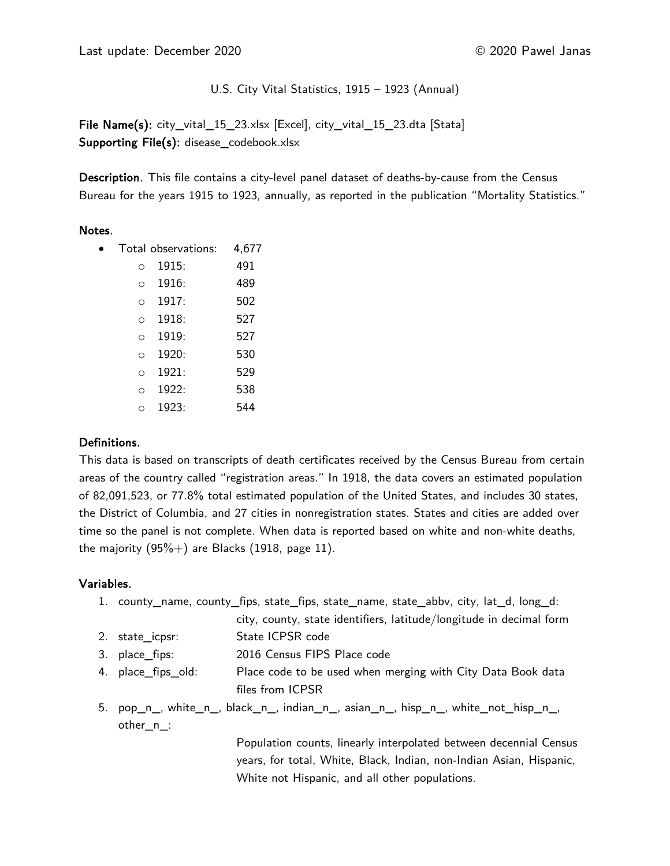Last update: December 2020 **by 2018** Case 2020 Pawel Janas

U.S. City Vital Statistics, 1915 – 1923 (Annual)

File Name(s): city\_vital\_15\_23.xlsx [Excel], city\_vital\_15\_23.dta [Stata] Supporting File(s): disease\_codebook.xlsx

Description. This file contains a city-level panel dataset of deaths-by-cause from the Census Bureau for the years 1915 to 1923, annually, as reported in the publication "Mortality Statistics."

# Notes.

|          | Total observations: | 4,677 |
|----------|---------------------|-------|
| ∩        | 1915:               | 491   |
| ∩        | 1916:               | 489   |
| $\Omega$ | 1917:               | 502   |
| O        | 1918:               | 527   |
| O        | 1919:               | 527   |
| O        | 1920:               | 530   |
| O        | 1921:               | 529   |
| ∩        | 1922:               | 538   |
| ∩        | 1923:               | 544   |

# Definitions.

This data is based on transcripts of death certificates received by the Census Bureau from certain areas of the country called "registration areas." In 1918, the data covers an estimated population of 82,091,523, or 77.8% total estimated population of the United States, and includes 30 states, the District of Columbia, and 27 cities in nonregistration states. States and cities are added over time so the panel is not complete. When data is reported based on white and non-white deaths, the majority  $(95\%+)$  are Blacks (1918, page 11).

# Variables.

- 1. county\_name, county\_fips, state\_fips, state\_name, state\_abbv, city, lat\_d, long\_d:
	- city, county, state identifiers, latitude/longitude in decimal form
- 2. state\_icpsr: State ICPSR code
- 3. place\_fips: 2016 Census FIPS Place code
- 4. place\_fips\_old: Place code to be used when merging with City Data Book data files from ICPSR
- 5. pop\_n\_, white\_n\_, black\_n\_, indian\_n\_, asian\_n\_, hisp\_n\_, white\_not\_hisp\_n\_, other\_n\_:

Population counts, linearly interpolated between decennial Census years, for total, White, Black, Indian, non-Indian Asian, Hispanic, White not Hispanic, and all other populations.